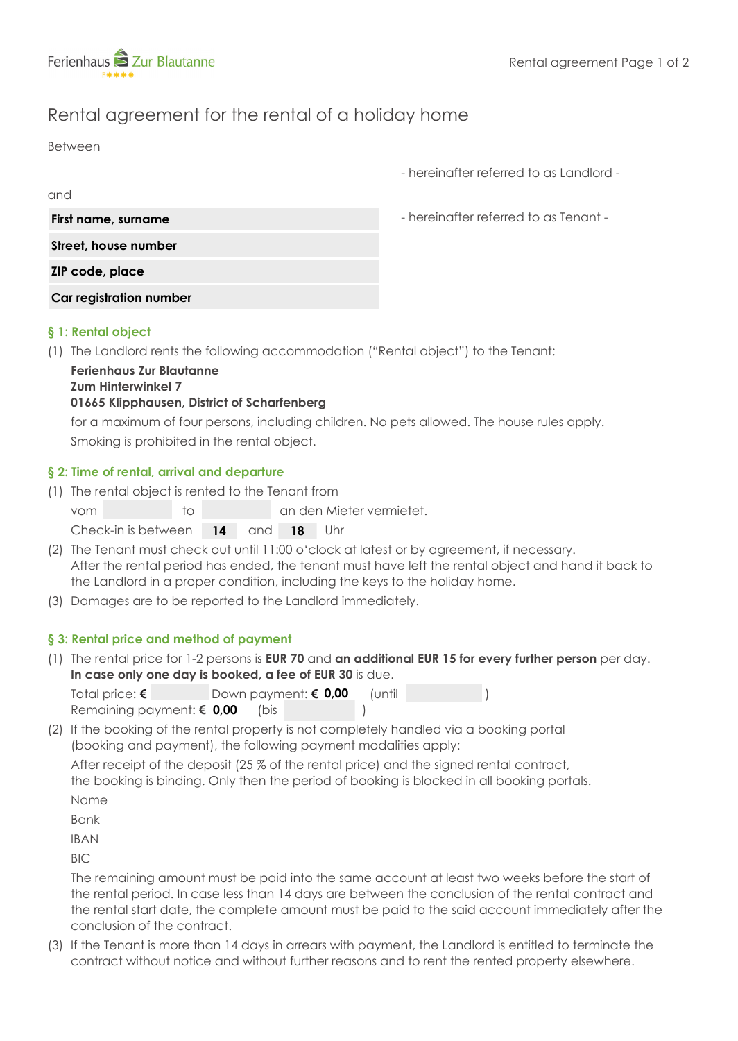

# Rental agreement for the rental of a holiday home

Between

and

- hereinafter referred to as Landlord -

| First name, surname     |
|-------------------------|
| Street, house number    |
| ZIP code, place         |
| Car registration number |

- hereinafter referred to as Tenant -

# **§ 1: Rental object**

(1) The Landlord rents the following accommodation ("Rental object") to the Tenant:

#### **Ferienhaus Zur Blautanne Zum Hinterwinkel 7**

# **01665 Klipphausen, District of Scharfenberg**

 for a maximum of four persons, including children. No pets allowed. The house rules apply. Smoking is prohibited in the rental object.

# **§ 2: Time of rental, arrival and departure**

(1) The rental object is rented to the Tenant from

| vom                               | ിറ |  | an den Mieter vermietet. |
|-----------------------------------|----|--|--------------------------|
| Check-in is between 14 and 18 Uhr |    |  |                          |

- (2) The Tenant must check out until 11:00 o'clock at latest or by agreement, if necessary. After the rental period has ended, the tenant must have left the rental object and hand it back to the Landlord in a proper condition, including the keys to the holiday home.
- (3) Damages are to be reported to the Landlord immediately.

# **§ 3: Rental price and method of payment**

(1) The rental price for 1-2 persons is **EUR 70** and **an additional EUR 15 for every further person** per day. **In case only one day is booked, a fee of EUR 30** is due.

| Total price: $\epsilon$            |      | ¶Down payment: € 0,00 | luntil |  |
|------------------------------------|------|-----------------------|--------|--|
| Remaining payment: $\epsilon$ 0,00 | (bis |                       |        |  |

(2) If the booking of the rental property is not completely handled via a booking portal (booking and payment), the following payment modalities apply: After receipt of the deposit (25 % of the rental price) and the signed rental contract,

 the booking is binding. Only then the period of booking is blocked in all booking portals. Name

Bank

IBAN

BIC

 The remaining amount must be paid into the same account at least two weeks before the start of the rental period. In case less than 14 days are between the conclusion of the rental contract and the rental start date, the complete amount must be paid to the said account immediately after the conclusion of the contract.

(3) If the Tenant is more than 14 days in arrears with payment, the Landlord is entitled to terminate the contract without notice and without further reasons and to rent the rented property elsewhere.